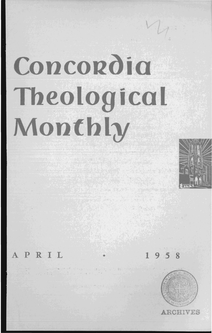## Concordia Theological Monthly



PRIL

 $958$ 

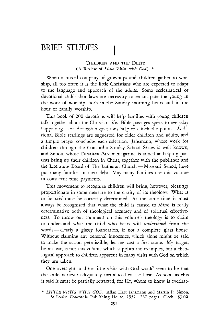## **BRIEF** STUDIES

## CHILDREN AND THE DEITY (A Review of *Little Visits with God)* ..

When a mixed company of grownups and children gather to worship, all too often it is the little Christians who are expected to adapt to the language and approach of the adults. Some ecclesiastical or devotional child-labor laws are necessary to emancipate the young in the work of worship, both in the Sunday morning hours and in the hour of family worship.

This book of 200 devotions will help families with young children talk together about the Christian life. Bible passages speak to everyday happenings, and discussion questions help to clinch the points. Additional Bible readings are suggested for older children and adults, and a simple prayer concludes each selection. Jahsmann, whose work for children through the Concordia Sunday School Series is well known, and Simon, whose *Christian Parent* magazine is aimed at helping par· ents bring up their children in Christ, together with the publisher and the Literature Board of The Lutheran Church - Missouri Synod, have put many families in their debt. May many families use this volume in consistent time payments.

This movement to recognize children will bring, however, blessings proportionate in some measure to the clarity of its theology. What is to be *said* must be correctly determined. At the same time it must always be recognized that what the child is caused to *think* is really determinative both of theological accuracy and of spiritual effectiveness. To throw out comment on this volume's theology is to claim to understand what the child who hears will *understand* from the words - clearly a glassy foundation, if not a complete glass house. Without claiming any personal innocence, which alone might be said to make the action permissible, let me cast a first stone. My target, be it clear, is not this volume which supplies the examples, but a theological approach to children apparent in many visits with God on which they are taken.

One oversight in these little visits with God would seem to be that the child is never adequately introduced to the host. As soon as this is said it must be partially retracted, for He, whom to know is everlast-

<sup>\*</sup> LITTLE VISITS WITH GOD. Allan Hart Jahsmann and Martin P. Simon. St.Louis: Concordia Publishing House, 1957. 287 pages. Cloth. \$3.00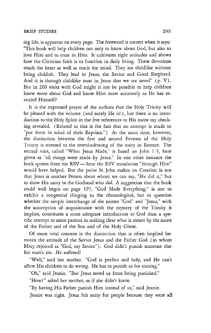ing life, is apparent on every page. The foreword is correct when it says: "This book will help children not only to know about God, but also to love Him and to trust in Him. It cultivates right attitudes and shows how the Christian faith is to function **in** daily living. These devotions touch the heart as well as reach the mind. They are childlike without being childish. They lead to Jesus, the Savior and Good Shepherd. And it is through childlike trust in Jesus that we are saved" (p. V). But in 200 visits with God might it not be possible to help children know more about God and know Him more accurately as He has revealed Himself?

It is the expressed prayer of the authors that the Holy Trinity will be pleased with the volume (and surely He is! ), but there is no introduction to the Holy Spirit in the five references to His name my checking revealed. (Related to this is the fact that no attempt is made to "put them in mind of their Baptism.") At the same time, however, the distinction between the first and second Persons of the Holy Trinity is stressed to the overshadowing of the unity in Essence. The second visit, called "What Jesus Made," is based on John 1:3, here given as "ali things were made by Jesus." In one other instance the book quotes from the RSV - here the RSV translation "through Him" would have helped. But the point St. John makes on Creation is not that Jesus is another Person about whom we can say, *"He* did it," but to show His unity in the Godhead who *did*. A suggestion that the book could well begin on page 197, "God Made Everything," is not to exhibit a congenital clinging to the chronological, but to question whether the simple interchange of the names "God" and "Jesus," with the assumption of acquaintance with the mystery of the Trinity *it*  implies, constitutes a more adequate introduction to God than a specific attempt to assist parents in making clear what is meant by the name of the Father and of the Son and of the Holy Ghost.

Of more vital concern is the distinction that is often implied between the attitude of the Savior Jesus and the Father God (in whom Mary rejoiced as "God, my Savior"). God didn't punish someone else for man's sin. *He* suffered!

"Well," said her mother. "God is perfect and holy, and He can't allow His children to do wrong. He has to punish us for sinning."

"Oh," said Jeanie. "But Jesus saved us from being punished."

"How?" asked her mother, as if she didn't know.

"By having His Father punish Him instead of us," said Jeanie.

Jeanie was right. Jesus felt sorry for people because they were all